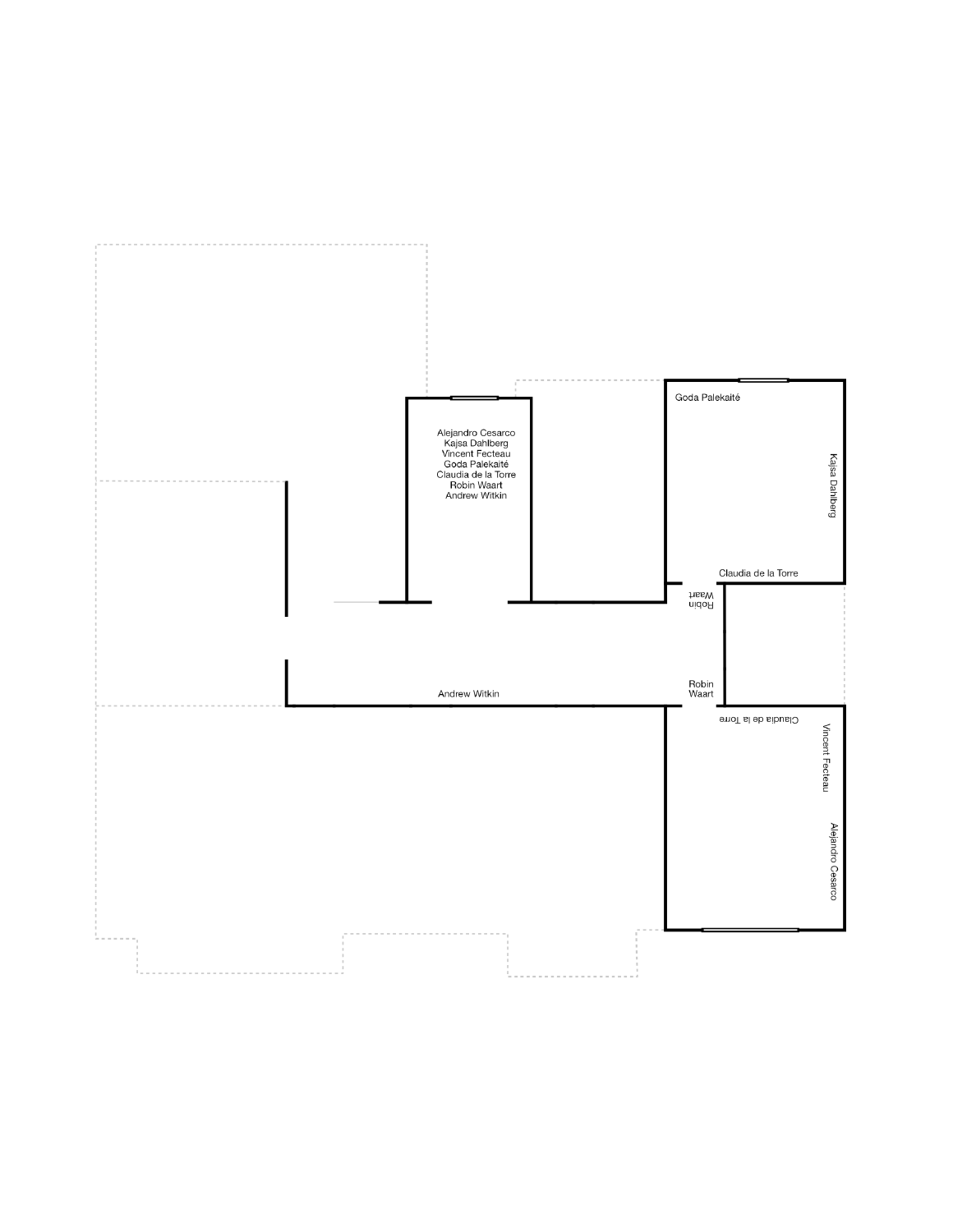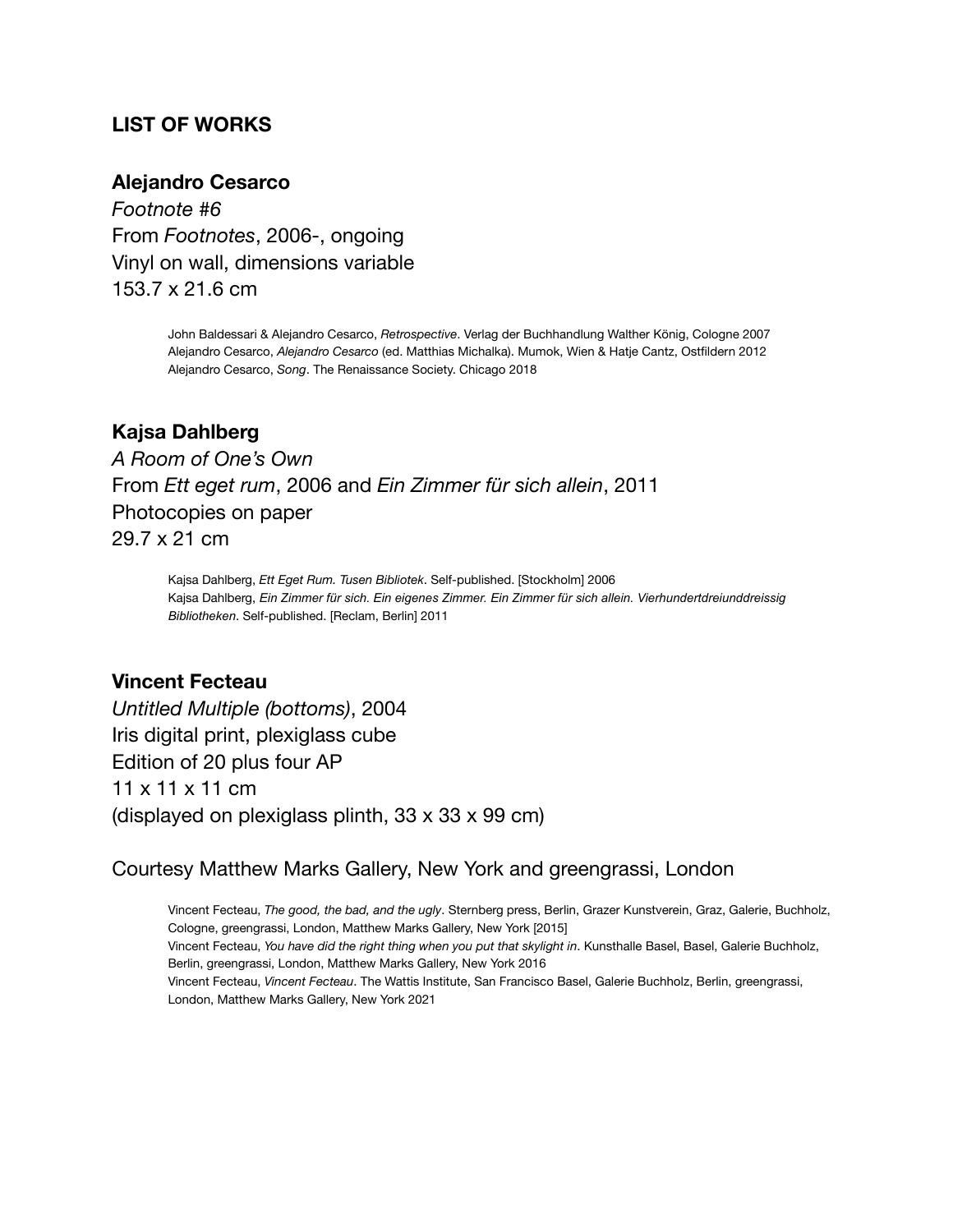## **LIST OF WORKS**

#### **Alejandro Cesarco**

*Footnote #6* From *Footnotes*, 2006-, ongoing Vinyl on wall, dimensions variable 153.7 x 21.6 cm

> John Baldessari & Alejandro Cesarco, *Retrospective*. Verlag der Buchhandlung Walther König, Cologne 2007 Alejandro Cesarco, *Alejandro Cesarco* (ed. Matthias Michalka). Mumok, Wien & Hatje Cantz, Ostfildern 2012 Alejandro Cesarco, *Song*. The Renaissance Society. Chicago 2018

#### **Kajsa Dahlberg**

*A Room of One's Own* From *Ett eget rum*, 2006 and *Ein Zimmer für sich allein*, 2011 Photocopies on paper 29.7 x 21 cm

> Kajsa Dahlberg, *Ett Eget Rum. Tusen Bibliotek*. Self-published. [Stockholm] 2006 Kajsa Dahlberg, *Ein Zimmer für sich. Ein eigenes Zimmer. Ein Zimmer für sich allein. Vierhundertdreiunddreissig Bibliotheken*. Self-published. [Reclam, Berlin] 2011

### **Vincent Fecteau**

*Untitled Multiple (bottoms)*, 2004 Iris digital print, plexiglass cube Edition of 20 plus four AP 11 x 11 x 11 cm (displayed on plexiglass plinth, 33 x 33 x 99 cm)

#### Courtesy Matthew Marks Gallery, New York and greengrassi, London

Vincent Fecteau, *The good, the bad, and the ugly*. Sternberg press, Berlin, Grazer Kunstverein, Graz, Galerie, Buchholz, Cologne, greengrassi, London, Matthew Marks Gallery, New York [2015] Vincent Fecteau, *You have did the right thing when you put that skylight in*. Kunsthalle Basel, Basel, Galerie Buchholz, Berlin, greengrassi, London, Matthew Marks Gallery, New York 2016 Vincent Fecteau, *Vincent Fecteau*. The Wattis Institute, San Francisco Basel, Galerie Buchholz, Berlin, greengrassi, London, Matthew Marks Gallery, New York 2021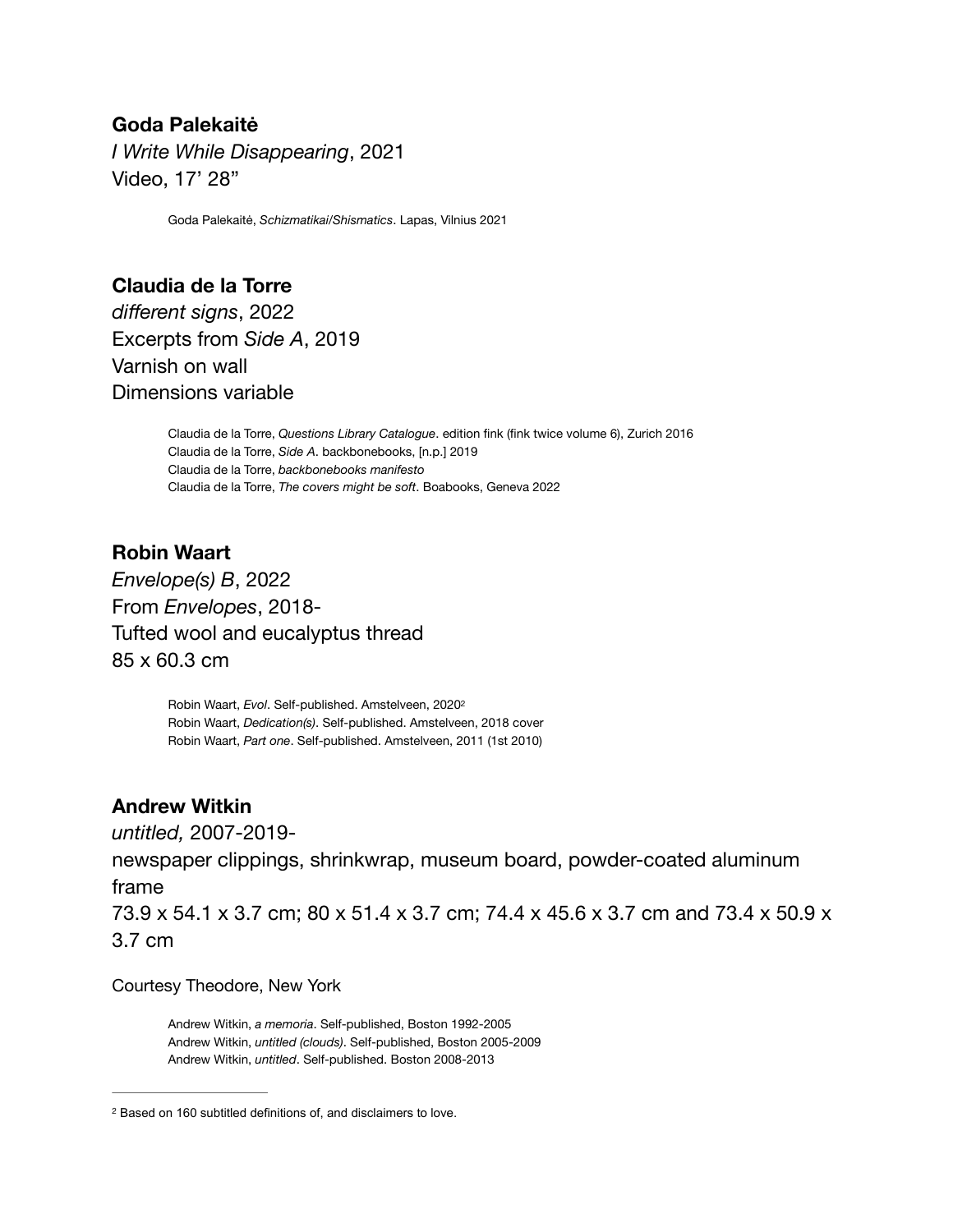## **Goda Palekaitė**

*I Write While Disappearing*, 2021 Video, 17' 28"

Goda Palekaitė, *Schizmatikai/Shismatics*. Lapas, Vilnius 2021

# **Claudia de la Torre**  *different signs*, 2022 Excerpts from *Side A*, 2019 Varnish on wall Dimensions variable

Claudia de la Torre, *Questions Library Catalogue*. edition fink (fink twice volume 6), Zurich 2016 Claudia de la Torre, *Side A*. backbonebooks, [n.p.] 2019 Claudia de la Torre, *backbonebooks manifesto*  Claudia de la Torre, *The covers might be soft*. Boabooks, Geneva 2022

# **Robin Waart**

*Envelope(s) B*, 2022 From *Envelopes*, 2018- Tufted wool and eucalyptus thread 85 x 60.3 cm

> <span id="page-2-1"></span>Robin Waart, *Evol*. Self-published. Amstelveen, 202[02](#page-2-0) Robin Waart, *Dedication(s)*. Self-published. Amstelveen, 2018 cover Robin Waart, *Part one*. Self-published. Amstelveen, 2011 (1st 2010)

## **Andrew Witkin**

*untitled,* 2007-2019-

newspaper clippings, shrinkwrap, museum board, powder-coated aluminum frame

73.9 x 54.1 x 3.7 cm; 80 x 51.4 x 3.7 cm; 74.4 x 45.6 x 3.7 cm and 73.4 x 50.9 x 3.7 cm

#### Courtesy Theodore, New York

Andrew Witkin, *a memoria*. Self-published, Boston 1992-2005 Andrew Witkin, *untitled (clouds)*. Self-published, Boston 2005-2009 Andrew Witkin, *untitled*. Self-published. Boston 2008-2013

<span id="page-2-0"></span><sup>&</sup>lt;sup>[2](#page-2-1)</sup> Based on 160 subtitled definitions of, and disclaimers to love.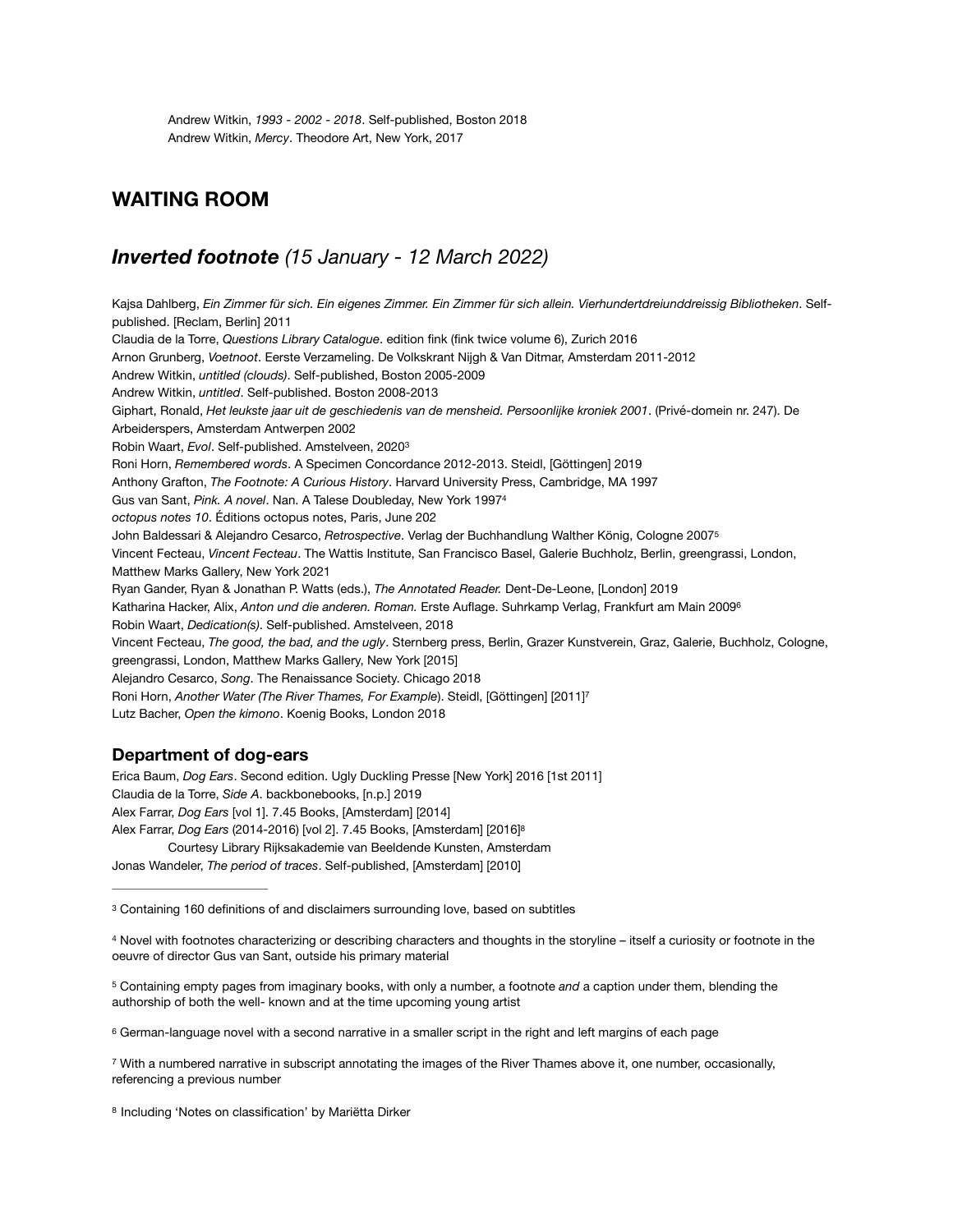Andrew Witkin, *1993 - 2002 - 2018*. Self-published, Boston 2018 Andrew Witkin, *Mercy*. Theodore Art, New York, 2017

#### **WAITING ROOM**

#### *Inverted footnote (15 January - 12 March 2022)*

<span id="page-3-7"></span><span id="page-3-6"></span>Kajsa Dahlberg, *Ein Zimmer für sich. Ein eigenes Zimmer. Ein Zimmer für sich allein. Vierhundertdreiunddreissig Bibliotheken*. Selfpublished. [Reclam, Berlin] 2011 Claudia de la Torre, *Questions Library Catalogue*. edition fink (fink twice volume 6), Zurich 2016 Arnon Grunberg, *Voetnoot*. Eerste Verzameling. De Volkskrant Nijgh & Van Ditmar, Amsterdam 2011-2012 Andrew Witkin, *untitled (clouds)*. Self-published, Boston 2005-2009 Andrew Witkin, *untitled*. Self-published. Boston 2008-2013 Giphart, Ronald, *Het leukste jaar uit de geschiedenis van de mensheid. Persoonlijke kroniek 2001*. (Privé-domein nr. 247). De Arbeiderspers, Amsterdam Antwerpen 2002 Robin Waart, *Evol*. Self-published. Amstelveen, 202[03](#page-3-0) Roni Horn, *Remembered words*. A Specimen Concordance 2012-2013. Steidl, [Göttingen] 2019 Anthony Grafton, *The Footnote: A Curious History*. Harvard University Press, Cambridge, MA 1997 Gus van Sant, *Pink. A novel*. Nan. A Talese Doubleday, New York 1997[4](#page-3-1) *octopus notes 10*. Éditions octopus notes, Paris, June 202 John Baldessari & Alejandro Cesarco, *Retrospective*. Verlag der Buchhandlung Walther König, Cologne 200[75](#page-3-2) Vincent Fecteau, *Vincent Fecteau*. The Wattis Institute, San Francisco Basel, Galerie Buchholz, Berlin, greengrassi, London, Matthew Marks Gallery, New York 2021 Ryan Gander, Ryan & Jonathan P. Watts (eds.), *The Annotated Reader.* Dent-De-Leone, [London] 2019 Katharina Hacker, Alix, *Anton und die anderen. Roman.* Erste Auflage. Suhrkamp Verlag, Frankfurt am Main 200[96](#page-3-3) Robin Waart, *Dedication(s)*. Self-published. Amstelveen, 2018 Vincent Fecteau, *The good, the bad, and the ugly*. Sternberg press, Berlin, Grazer Kunstverein, Graz, Galerie, Buchholz, Cologne, greengrassi, London, Matthew Marks Gallery, New York [2015] Alejandro Cesarco, *Song*. The Renaissance Society. Chicago 2018 Roni Horn, *Another Water (The River Thames, For Example*). Steidl, [Göttingen] [2011[\]7](#page-3-4) Lutz Bacher, *Open the kimono*. Koenig Books, London 2018

#### <span id="page-3-10"></span><span id="page-3-9"></span><span id="page-3-8"></span>**Department of dog-ears**

Erica Baum, *Dog Ears*. Second edition. Ugly Duckling Presse [New York] 2016 [1st 2011] Claudia de la Torre, *Side A*. backbonebooks, [n.p.] 2019 Alex Farrar, *Dog Ears* [vol 1]. 7.45 Books, [Amsterdam] [2014] Alex Farrar, *Dog Ears* (2014-2016) [vol 2]. 7.45 Books, [Amsterdam] [2016][8](#page-3-5)

<span id="page-3-11"></span>Courtesy Library Rijksakademie van Beeldende Kunsten, Amsterdam

Jonas Wandeler, *The period of traces*. Self-published, [Amsterdam] [2010]

<span id="page-3-2"></span> Containing empty pages from imaginary books, with only a number, a footnote *and* a caption under them, blending the [5](#page-3-8) authorship of both the well- known and at the time upcoming young artist

<span id="page-3-3"></span>[6](#page-3-9) German-language novel with a second narrative in a smaller script in the right and left margins of each page

<span id="page-3-4"></span>With a numbered narrative in subscript annotating the images of the River Thames above it, one number, occasionally, [7](#page-3-10) referencing a previous number

<span id="page-3-5"></span>[8](#page-3-11) Including 'Notes on classification' by Mariëtta Dirker

<span id="page-3-0"></span>[<sup>3</sup>](#page-3-6) Containing 160 definitions of and disclaimers surrounding love, based on subtitles

<span id="page-3-1"></span><sup>4</sup>Novel with footnotes characterizing or describing characters and thoughts in the storyline – itself a curiosity or footnote in the oeuvre of director Gus van Sant, outside his primary material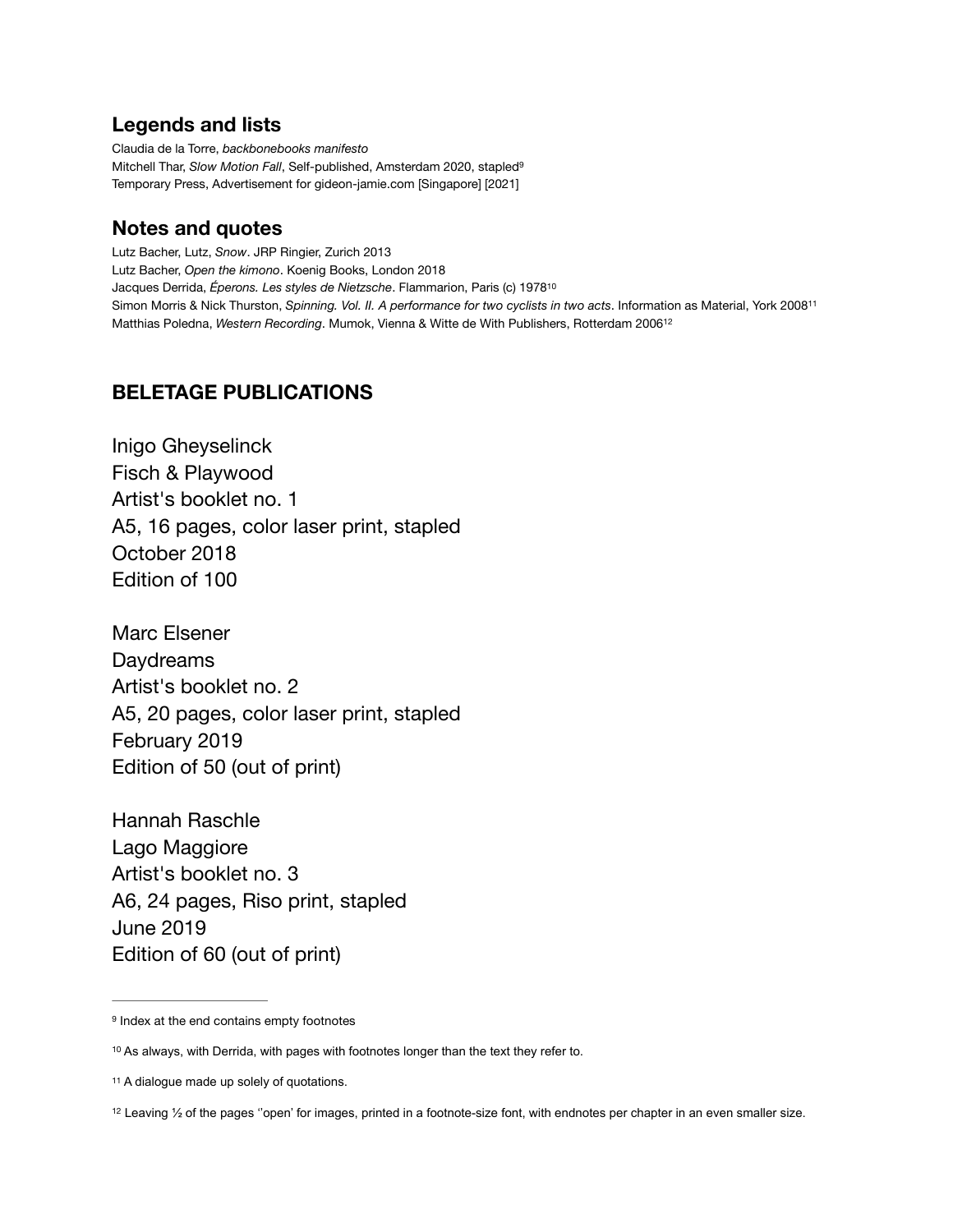#### **Legends and lists**

<span id="page-4-4"></span>Claudia de la Torre, *backbonebooks manifesto* Mitchell Thar, *Slow Motion Fall*, Self-published, Amsterdam 2020, stapled[9](#page-4-0) Temporary Press, Advertisement for gideon-jamie.com [Singapore] [2021]

## **Notes and quotes**

<span id="page-4-6"></span><span id="page-4-5"></span>Lutz Bacher, Lutz, *Snow*. JRP Ringier, Zurich 2013 Lutz Bacher, *Open the kimono*. Koenig Books, London 2018 Jacques Derrida, *Éperons. Les styles de Nietzsche*. Flammarion, Paris (c) 1978[10](#page-4-1) Simon Morris & Nick Thurston, *Spinning. Vol. II. A performance for two cyclists in two acts*. Information as Material, York 200[811](#page-4-2) Matthias Poledna, *Western Recording*. Mumok, Vienna & Witte de With Publishers, Rotterdam 200[612](#page-4-3)

## <span id="page-4-7"></span>**BELETAGE PUBLICATIONS**

Inigo Gheyselinck Fisch & Playwood Artist's booklet no. 1 A5, 16 pages, color laser print, stapled October 2018 Edition of 100

Marc Elsener Daydreams Artist's booklet no. 2 A5, 20 pages, color laser print, stapled February 2019 Edition of 50 (out of print)

Hannah Raschle Lago Maggiore Artist's booklet no. 3 A6, 24 pages, Riso print, stapled June 2019 Edition of 60 (out of print)

<span id="page-4-0"></span><sup>&</sup>lt;sup>9</sup> Index at the end contains empty footnotes

<span id="page-4-1"></span><sup>&</sup>lt;sup>[10](#page-4-5)</sup> As always, with Derrida, with pages with footnotes longer than the text they refer to.

<span id="page-4-2"></span>[<sup>11</sup>](#page-4-6) A dialogue made up solely of quotations.

<span id="page-4-3"></span> $12$  Leaving  $\frac{1}{2}$  of the pages "open' for images, printed in a footnote-size font, with endnotes per chapter in an even smaller size.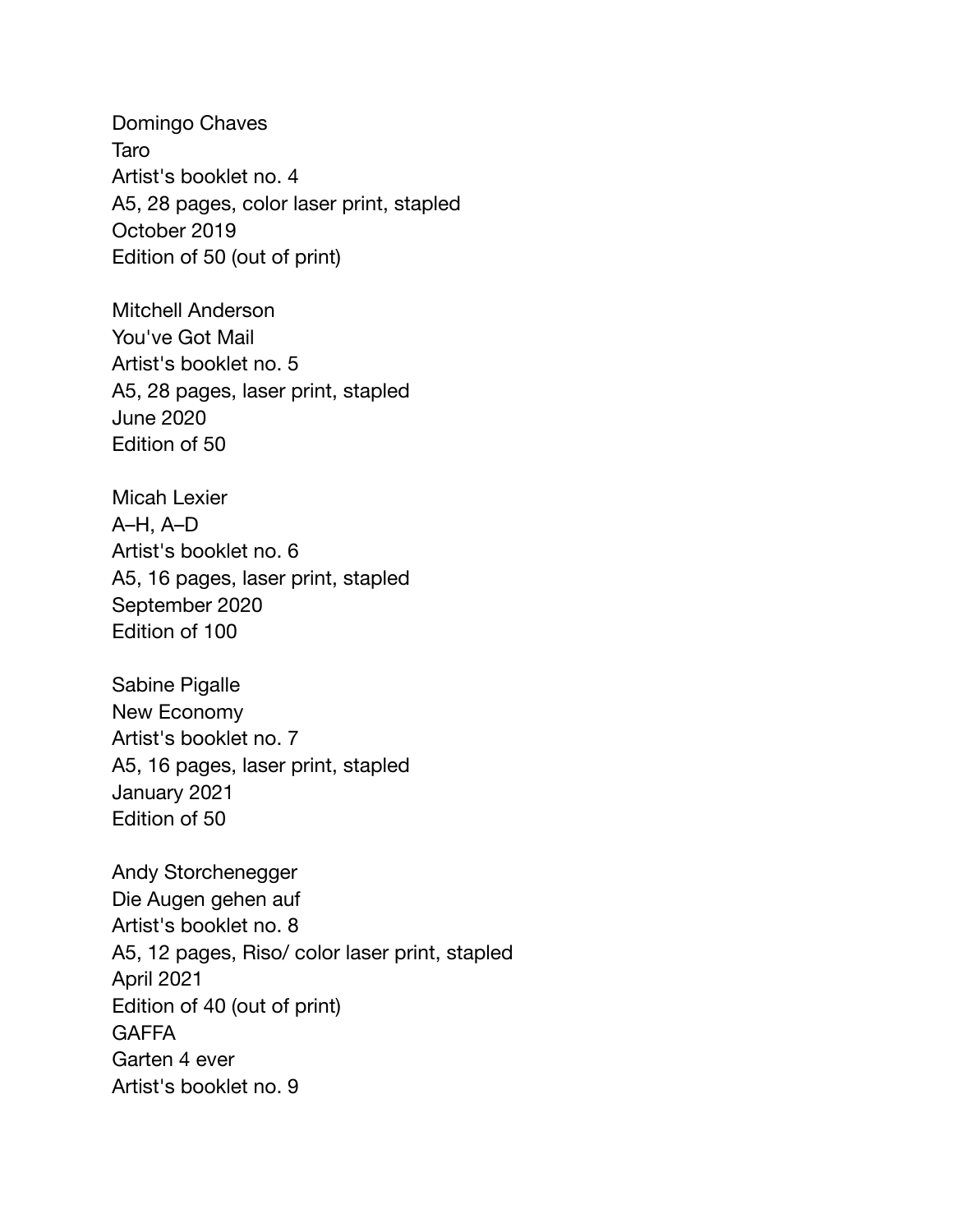Domingo Chaves Taro Artist's booklet no. 4 A5, 28 pages, color laser print, stapled October 2019 Edition of 50 (out of print)

Mitchell Anderson You've Got Mail Artist's booklet no. 5 A5, 28 pages, laser print, stapled June 2020 Edition of 50

Micah Lexier A–H, A–D Artist's booklet no. 6 A5, 16 pages, laser print, stapled September 2020 Edition of 100

Sabine Pigalle New Economy Artist's booklet no. 7 A5, 16 pages, laser print, stapled January 2021 Edition of 50

Andy Storchenegger Die Augen gehen auf Artist's booklet no. 8 A5, 12 pages, Riso/ color laser print, stapled April 2021 Edition of 40 (out of print) **GAFFA** Garten 4 ever Artist's booklet no. 9